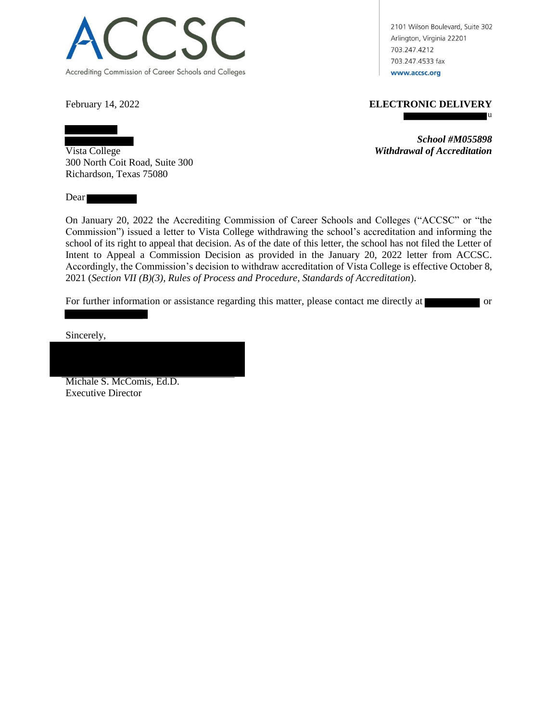

2101 Wilson Boulevard, Suite 302 Arlington, Virginia 22201 703.247.4212 703.247.4533 fax www.accsc.org

## February 14, 2022 **ELECTRONIC DELIVERY**

u

*School #M055898* Vista College *Withdrawal of Accreditation*

300 North Coit Road, Suite 300 Richardson, Texas 75080

Dear by the same state of the state of the state of the state of the state of the state of the state of the state of the state of the state of the state of the state of the state of the state of the state of the state of t

On January 20, 2022 the Accrediting Commission of Career Schools and Colleges ("ACCSC" or "the Commission") issued a letter to Vista College withdrawing the school's accreditation and informing the school of its right to appeal that decision. As of the date of this letter, the school has not filed the Letter of Intent to Appeal a Commission Decision as provided in the January 20, 2022 letter from ACCSC. Accordingly, the Commission's decision to withdraw accreditation of Vista College is effective October 8, 2021 (*Section VII (B)(3), Rules of Process and Procedure, Standards of Accreditation*).

For further information or assistance regarding this matter, please contact me directly at or

Sincerely,

Michale S. McComis, Ed.D.

Executive Director